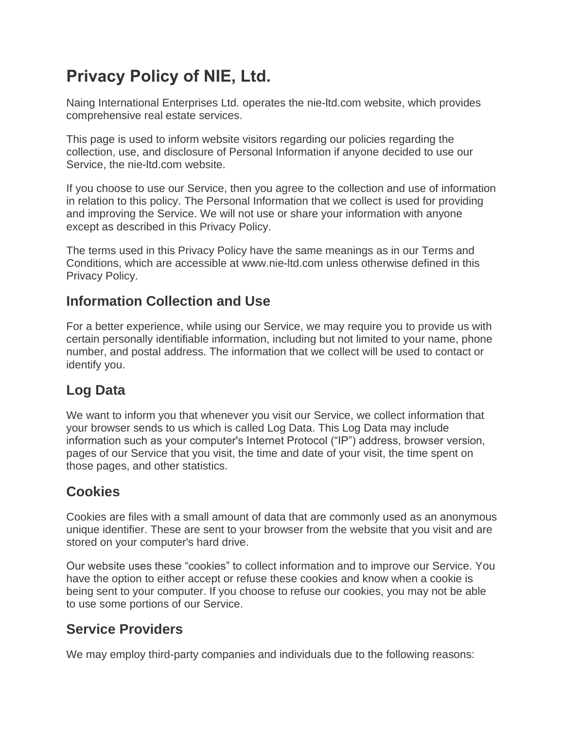# **Privacy Policy of NIE, Ltd.**

Naing International Enterprises Ltd. operates the nie-ltd.com website, which provides comprehensive real estate services.

This page is used to inform website visitors regarding our policies regarding the collection, use, and disclosure of Personal Information if anyone decided to use our Service, the nie-ltd.com website.

If you choose to use our Service, then you agree to the collection and use of information in relation to this policy. The Personal Information that we collect is used for providing and improving the Service. We will not use or share your information with anyone except as described in this Privacy Policy.

The terms used in this Privacy Policy have the same meanings as in our Terms and Conditions, which are accessible at www.nie-ltd.com unless otherwise defined in this Privacy Policy.

## **Information Collection and Use**

For a better experience, while using our Service, we may require you to provide us with certain personally identifiable information, including but not limited to your name, phone number, and postal address. The information that we collect will be used to contact or identify you.

# **Log Data**

We want to inform you that whenever you visit our Service, we collect information that your browser sends to us which is called Log Data. This Log Data may include information such as your computer's Internet Protocol ("IP") address, browser version, pages of our Service that you visit, the time and date of your visit, the time spent on those pages, and other statistics.

# **Cookies**

Cookies are files with a small amount of data that are commonly used as an anonymous unique identifier. These are sent to your browser from the website that you visit and are stored on your computer's hard drive.

Our website uses these "cookies" to collect information and to improve our Service. You have the option to either accept or refuse these cookies and know when a cookie is being sent to your computer. If you choose to refuse our cookies, you may not be able to use some portions of our Service.

# **Service Providers**

We may employ third-party companies and individuals due to the following reasons: